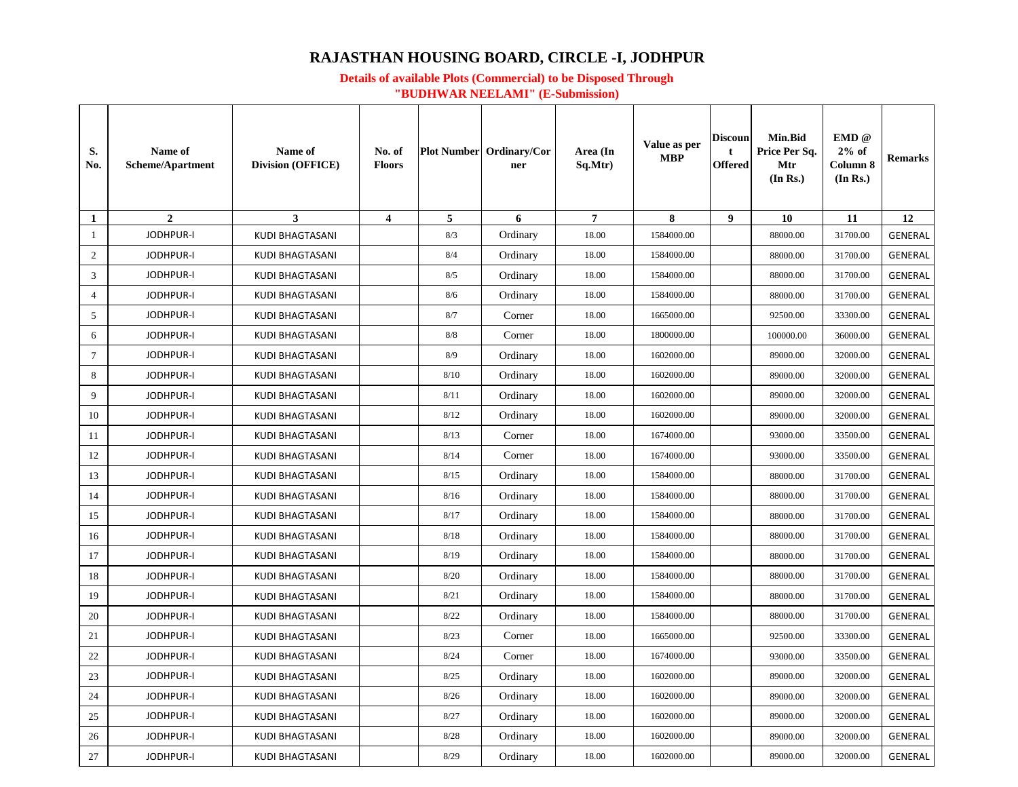# **RAJASTHAN HOUSING BOARD, CIRCLE -I, JODHPUR**

### **Details of available Plots (Commercial) to be Disposed Through "BUDHWAR NEELAMI" (E-Submission)**

| S.<br>No.       | Name of<br><b>Scheme/Apartment</b> | Name of<br><b>Division (OFFICE)</b> | No. of<br><b>Floors</b> |      | <b>Plot Number</b> Ordinary/Cor<br>ner | Area (In<br>Sq.Mtr) | Value as per<br><b>MBP</b> | <b>Discoun</b><br>t<br>Offered | <b>Min.Bid</b><br>Price Per Sq.<br>Mtr<br>(In Rs.) | EMD @<br>$2%$ of<br>Column 8<br>(In Rs.) | <b>Remarks</b> |
|-----------------|------------------------------------|-------------------------------------|-------------------------|------|----------------------------------------|---------------------|----------------------------|--------------------------------|----------------------------------------------------|------------------------------------------|----------------|
| 1               | $\overline{2}$                     | $\mathbf{3}$                        | $\overline{\mathbf{4}}$ | 5    | 6                                      | $\overline{7}$      | 8                          | $\boldsymbol{9}$               | 10                                                 | 11                                       | 12             |
| -1              | <b>JODHPUR-I</b>                   | <b>KUDI BHAGTASANI</b>              |                         | 8/3  | Ordinary                               | 18.00               | 1584000.00                 |                                | 88000.00                                           | 31700.00                                 | <b>GENERAL</b> |
| 2               | <b>JODHPUR-I</b>                   | <b>KUDI BHAGTASANI</b>              |                         | 8/4  | Ordinary                               | 18.00               | 1584000.00                 |                                | 88000.00                                           | 31700.00                                 | <b>GENERAL</b> |
| 3               | <b>JODHPUR-I</b>                   | <b>KUDI BHAGTASANI</b>              |                         | 8/5  | Ordinary                               | 18.00               | 1584000.00                 |                                | 88000.00                                           | 31700.00                                 | <b>GENERAL</b> |
| $\overline{4}$  | JODHPUR-I                          | <b>KUDI BHAGTASANI</b>              |                         | 8/6  | Ordinary                               | 18.00               | 1584000.00                 |                                | 88000.00                                           | 31700.00                                 | <b>GENERAL</b> |
| 5               | <b>JODHPUR-I</b>                   | <b>KUDI BHAGTASANI</b>              |                         | 8/7  | Corner                                 | 18.00               | 1665000.00                 |                                | 92500.00                                           | 33300.00                                 | <b>GENERAL</b> |
| 6               | <b>JODHPUR-I</b>                   | <b>KUDI BHAGTASANI</b>              |                         | 8/8  | Corner                                 | 18.00               | 1800000.00                 |                                | 100000.00                                          | 36000.00                                 | <b>GENERAL</b> |
| $7\phantom{.0}$ | <b>JODHPUR-I</b>                   | <b>KUDI BHAGTASANI</b>              |                         | 8/9  | Ordinary                               | 18.00               | 1602000.00                 |                                | 89000.00                                           | 32000.00                                 | <b>GENERAL</b> |
| 8               | <b>JODHPUR-I</b>                   | <b>KUDI BHAGTASANI</b>              |                         | 8/10 | Ordinary                               | 18.00               | 1602000.00                 |                                | 89000.00                                           | 32000.00                                 | <b>GENERAL</b> |
| 9               | <b>JODHPUR-I</b>                   | <b>KUDI BHAGTASANI</b>              |                         | 8/11 | Ordinary                               | 18.00               | 1602000.00                 |                                | 89000.00                                           | 32000.00                                 | <b>GENERAL</b> |
| 10              | <b>JODHPUR-I</b>                   | <b>KUDI BHAGTASANI</b>              |                         | 8/12 | Ordinary                               | 18.00               | 1602000.00                 |                                | 89000.00                                           | 32000.00                                 | <b>GENERAL</b> |
| 11              | <b>JODHPUR-I</b>                   | <b>KUDI BHAGTASANI</b>              |                         | 8/13 | Corner                                 | 18.00               | 1674000.00                 |                                | 93000.00                                           | 33500.00                                 | <b>GENERAL</b> |
| 12              | <b>JODHPUR-I</b>                   | KUDI BHAGTASANI                     |                         | 8/14 | Corner                                 | 18.00               | 1674000.00                 |                                | 93000.00                                           | 33500.00                                 | <b>GENERAL</b> |
| 13              | <b>JODHPUR-I</b>                   | <b>KUDI BHAGTASANI</b>              |                         | 8/15 | Ordinary                               | 18.00               | 1584000.00                 |                                | 88000.00                                           | 31700.00                                 | <b>GENERAL</b> |
| 14              | <b>JODHPUR-I</b>                   | <b>KUDI BHAGTASANI</b>              |                         | 8/16 | Ordinary                               | 18.00               | 1584000.00                 |                                | 88000.00                                           | 31700.00                                 | <b>GENERAL</b> |
| 15              | <b>JODHPUR-I</b>                   | <b>KUDI BHAGTASANI</b>              |                         | 8/17 | Ordinary                               | 18.00               | 1584000.00                 |                                | 88000.00                                           | 31700.00                                 | <b>GENERAL</b> |
| 16              | <b>JODHPUR-I</b>                   | <b>KUDI BHAGTASANI</b>              |                         | 8/18 | Ordinary                               | 18.00               | 1584000.00                 |                                | 88000.00                                           | 31700.00                                 | <b>GENERAL</b> |
| 17              | <b>JODHPUR-I</b>                   | KUDI BHAGTASANI                     |                         | 8/19 | Ordinary                               | 18.00               | 1584000.00                 |                                | 88000.00                                           | 31700.00                                 | <b>GENERAL</b> |
| 18              | JODHPUR-I                          | <b>KUDI BHAGTASANI</b>              |                         | 8/20 | Ordinary                               | 18.00               | 1584000.00                 |                                | 88000.00                                           | 31700.00                                 | <b>GENERAL</b> |
| 19              | JODHPUR-I                          | <b>KUDI BHAGTASANI</b>              |                         | 8/21 | Ordinary                               | 18.00               | 1584000.00                 |                                | 88000.00                                           | 31700.00                                 | <b>GENERAL</b> |
| 20              | <b>JODHPUR-I</b>                   | KUDI BHAGTASANI                     |                         | 8/22 | Ordinary                               | 18.00               | 1584000.00                 |                                | 88000.00                                           | 31700.00                                 | GENERAL        |
| 21              | <b>JODHPUR-I</b>                   | KUDI BHAGTASANI                     |                         | 8/23 | Corner                                 | 18.00               | 1665000.00                 |                                | 92500.00                                           | 33300.00                                 | <b>GENERAL</b> |
| 22              | <b>JODHPUR-I</b>                   | <b>KUDI BHAGTASANI</b>              |                         | 8/24 | Corner                                 | 18.00               | 1674000.00                 |                                | 93000.00                                           | 33500.00                                 | <b>GENERAL</b> |
| 23              | <b>JODHPUR-I</b>                   | <b>KUDI BHAGTASANI</b>              |                         | 8/25 | Ordinary                               | 18.00               | 1602000.00                 |                                | 89000.00                                           | 32000.00                                 | <b>GENERAL</b> |
| 24              | <b>JODHPUR-I</b>                   | <b>KUDI BHAGTASANI</b>              |                         | 8/26 | Ordinary                               | 18.00               | 1602000.00                 |                                | 89000.00                                           | 32000.00                                 | GENERAL        |
| 25              | <b>JODHPUR-I</b>                   | KUDI BHAGTASANI                     |                         | 8/27 | Ordinary                               | 18.00               | 1602000.00                 |                                | 89000.00                                           | 32000.00                                 | <b>GENERAL</b> |
| 26              | <b>JODHPUR-I</b>                   | <b>KUDI BHAGTASANI</b>              |                         | 8/28 | Ordinary                               | 18.00               | 1602000.00                 |                                | 89000.00                                           | 32000.00                                 | <b>GENERAL</b> |
| 27              | <b>JODHPUR-I</b>                   | <b>KUDI BHAGTASANI</b>              |                         | 8/29 | Ordinary                               | 18.00               | 1602000.00                 |                                | 89000.00                                           | 32000.00                                 | <b>GENERAL</b> |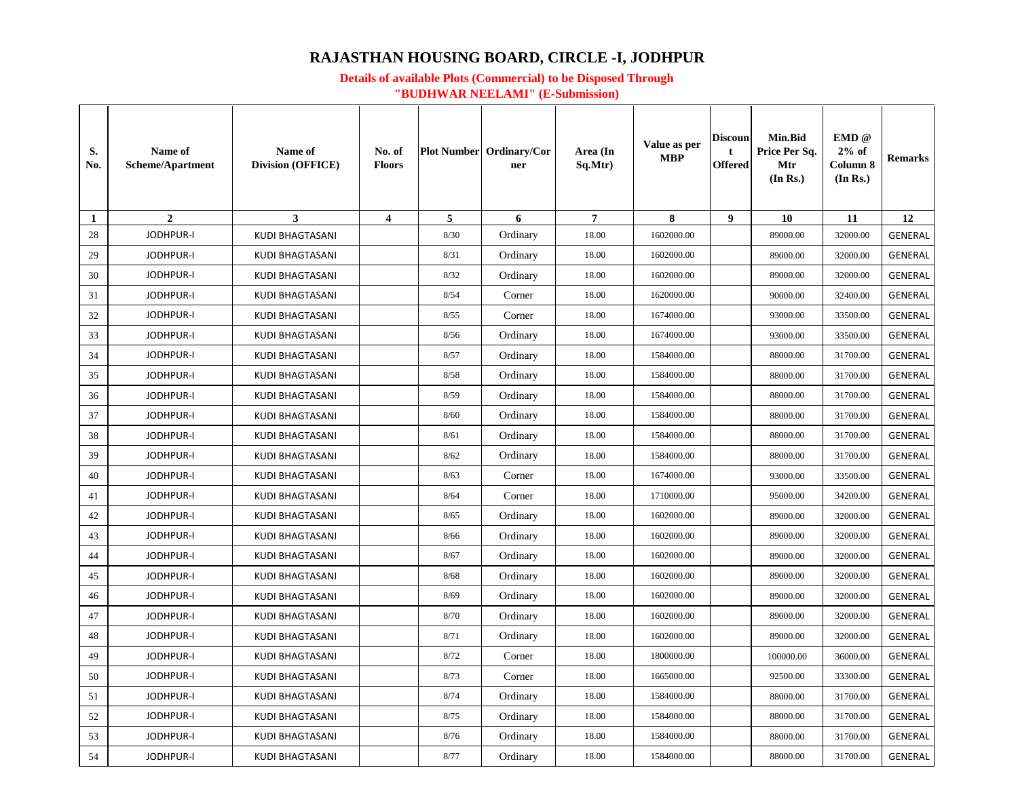# **RAJASTHAN HOUSING BOARD, CIRCLE -I, JODHPUR**

### **Details of available Plots (Commercial) to be Disposed Through "BUDHWAR NEELAMI" (E-Submission)**

| S.<br>No. | Name of<br><b>Scheme/Apartment</b> | Name of<br><b>Division (OFFICE)</b> | No. of<br><b>Floors</b> |      | <b>Plot Number</b> Ordinary/Cor<br>ner | Area (In<br>Sq.Mtr) | Value as per<br><b>MBP</b> | Discoun<br>t<br><b>Offered</b> | <b>Min.Bid</b><br>Price Per Sq.<br>Mtr<br>(In Rs.) | EMD @<br>$2\%$ of<br>Column 8<br>(In Rs.) | <b>Remarks</b> |
|-----------|------------------------------------|-------------------------------------|-------------------------|------|----------------------------------------|---------------------|----------------------------|--------------------------------|----------------------------------------------------|-------------------------------------------|----------------|
| -1        | $\overline{2}$                     | $\mathbf{3}$                        | $\overline{\mathbf{4}}$ | 5    | 6                                      | 7                   | 8                          | $\boldsymbol{9}$               | 10                                                 | 11                                        | 12             |
| 28        | <b>JODHPUR-I</b>                   | <b>KUDI BHAGTASANI</b>              |                         | 8/30 | Ordinary                               | 18.00               | 1602000.00                 |                                | 89000.00                                           | 32000.00                                  | <b>GENERAL</b> |
| 29        | <b>JODHPUR-I</b>                   | <b>KUDI BHAGTASANI</b>              |                         | 8/31 | Ordinary                               | 18.00               | 1602000.00                 |                                | 89000.00                                           | 32000.00                                  | <b>GENERAL</b> |
| 30        | <b>JODHPUR-I</b>                   | <b>KUDI BHAGTASANI</b>              |                         | 8/32 | Ordinary                               | 18.00               | 1602000.00                 |                                | 89000.00                                           | 32000.00                                  | <b>GENERAL</b> |
| 31        | <b>JODHPUR-I</b>                   | <b>KUDI BHAGTASANI</b>              |                         | 8/54 | Corner                                 | 18.00               | 1620000.00                 |                                | 90000.00                                           | 32400.00                                  | <b>GENERAL</b> |
| 32        | <b>JODHPUR-I</b>                   | <b>KUDI BHAGTASANI</b>              |                         | 8/55 | Corner                                 | 18.00               | 1674000.00                 |                                | 93000.00                                           | 33500.00                                  | <b>GENERAL</b> |
| 33        | <b>JODHPUR-I</b>                   | KUDI BHAGTASANI                     |                         | 8/56 | Ordinary                               | 18.00               | 1674000.00                 |                                | 93000.00                                           | 33500.00                                  | <b>GENERAL</b> |
| 34        | JODHPUR-I                          | <b>KUDI BHAGTASANI</b>              |                         | 8/57 | Ordinary                               | 18.00               | 1584000.00                 |                                | 88000.00                                           | 31700.00                                  | <b>GENERAL</b> |
| 35        | <b>JODHPUR-I</b>                   | <b>KUDI BHAGTASANI</b>              |                         | 8/58 | Ordinary                               | 18.00               | 1584000.00                 |                                | 88000.00                                           | 31700.00                                  | <b>GENERAL</b> |
| 36        | <b>JODHPUR-I</b>                   | <b>KUDI BHAGTASANI</b>              |                         | 8/59 | Ordinary                               | 18.00               | 1584000.00                 |                                | 88000.00                                           | 31700.00                                  | GENERAL        |
| 37        | <b>JODHPUR-I</b>                   | KUDI BHAGTASANI                     |                         | 8/60 | Ordinary                               | 18.00               | 1584000.00                 |                                | 88000.00                                           | 31700.00                                  | GENERAL        |
| 38        | <b>JODHPUR-I</b>                   | <b>KUDI BHAGTASANI</b>              |                         | 8/61 | Ordinary                               | 18.00               | 1584000.00                 |                                | 88000.00                                           | 31700.00                                  | <b>GENERAL</b> |
| 39        | <b>JODHPUR-I</b>                   | <b>KUDI BHAGTASANI</b>              |                         | 8/62 | Ordinary                               | 18.00               | 1584000.00                 |                                | 88000.00                                           | 31700.00                                  | <b>GENERAL</b> |
| 40        | <b>JODHPUR-I</b>                   | <b>KUDI BHAGTASANI</b>              |                         | 8/63 | Corner                                 | 18.00               | 1674000.00                 |                                | 93000.00                                           | 33500.00                                  | <b>GENERAL</b> |
| 41        | <b>JODHPUR-I</b>                   | <b>KUDI BHAGTASANI</b>              |                         | 8/64 | Corner                                 | 18.00               | 1710000.00                 |                                | 95000.00                                           | 34200.00                                  | <b>GENERAL</b> |
| 42        | <b>JODHPUR-I</b>                   | <b>KUDI BHAGTASANI</b>              |                         | 8/65 | Ordinary                               | 18.00               | 1602000.00                 |                                | 89000.00                                           | 32000.00                                  | <b>GENERAL</b> |
| 43        | <b>JODHPUR-I</b>                   | <b>KUDI BHAGTASANI</b>              |                         | 8/66 | Ordinary                               | 18.00               | 1602000.00                 |                                | 89000.00                                           | 32000.00                                  | <b>GENERAL</b> |
| 44        | <b>JODHPUR-I</b>                   | <b>KUDI BHAGTASANI</b>              |                         | 8/67 | Ordinary                               | 18.00               | 1602000.00                 |                                | 89000.00                                           | 32000.00                                  | <b>GENERAL</b> |
| 45        | <b>JODHPUR-I</b>                   | <b>KUDI BHAGTASANI</b>              |                         | 8/68 | Ordinary                               | 18.00               | 1602000.00                 |                                | 89000.00                                           | 32000.00                                  | <b>GENERAL</b> |
| 46        | <b>JODHPUR-I</b>                   | <b>KUDI BHAGTASANI</b>              |                         | 8/69 | Ordinary                               | 18.00               | 1602000.00                 |                                | 89000.00                                           | 32000.00                                  | <b>GENERAL</b> |
| 47        | <b>JODHPUR-I</b>                   | <b>KUDI BHAGTASANI</b>              |                         | 8/70 | Ordinary                               | 18.00               | 1602000.00                 |                                | 89000.00                                           | 32000.00                                  | <b>GENERAL</b> |
| 48        | <b>JODHPUR-I</b>                   | <b>KUDI BHAGTASANI</b>              |                         | 8/71 | Ordinary                               | 18.00               | 1602000.00                 |                                | 89000.00                                           | 32000.00                                  | <b>GENERAL</b> |
| 49        | JODHPUR-I                          | <b>KUDI BHAGTASANI</b>              |                         | 8/72 | Corner                                 | 18.00               | 1800000.00                 |                                | 100000.00                                          | 36000.00                                  | <b>GENERAL</b> |
| 50        | <b>JODHPUR-I</b>                   | <b>KUDI BHAGTASANI</b>              |                         | 8/73 | Corner                                 | 18.00               | 1665000.00                 |                                | 92500.00                                           | 33300.00                                  | <b>GENERAL</b> |
| 51        | <b>JODHPUR-I</b>                   | <b>KUDI BHAGTASANI</b>              |                         | 8/74 | Ordinary                               | 18.00               | 1584000.00                 |                                | 88000.00                                           | 31700.00                                  | <b>GENERAL</b> |
| 52        | <b>JODHPUR-I</b>                   | <b>KUDI BHAGTASANI</b>              |                         | 8/75 | Ordinary                               | 18.00               | 1584000.00                 |                                | 88000.00                                           | 31700.00                                  | <b>GENERAL</b> |
| 53        | <b>JODHPUR-I</b>                   | <b>KUDI BHAGTASANI</b>              |                         | 8/76 | Ordinary                               | 18.00               | 1584000.00                 |                                | 88000.00                                           | 31700.00                                  | <b>GENERAL</b> |
| 54        | <b>JODHPUR-I</b>                   | <b>KUDI BHAGTASANI</b>              |                         | 8/77 | Ordinary                               | 18.00               | 1584000.00                 |                                | 88000.00                                           | 31700.00                                  | <b>GENERAL</b> |